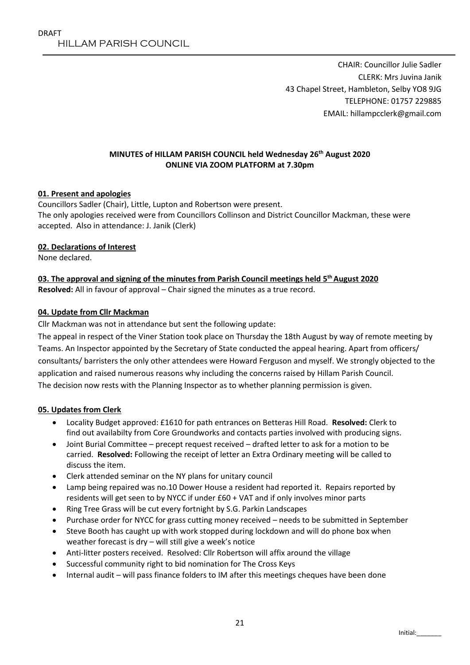CHAIR: Councillor Julie Sadler CLERK: Mrs Juvina Janik 43 Chapel Street, Hambleton, Selby YO8 9JG TELEPHONE: 01757 229885 EMAIL: hillampcclerk@gmail.com

## **MINUTES of HILLAM PARISH COUNCIL held Wednesday 26th August 2020 ONLINE VIA ZOOM PLATFORM at 7.30pm**

### **01. Present and apologies**

Councillors Sadler (Chair), Little, Lupton and Robertson were present. The only apologies received were from Councillors Collinson and District Councillor Mackman, these were accepted. Also in attendance: J. Janik (Clerk)

#### **02. Declarations of Interest**

None declared.

#### **03. The approval and signing of the minutes from Parish Council meetings held 5 th August 2020 Resolved:** All in favour of approval – Chair signed the minutes as a true record.

### **04. Update from Cllr Mackman**

Cllr Mackman was not in attendance but sent the following update:

The appeal in respect of the Viner Station took place on Thursday the 18th August by way of remote meeting by Teams. An Inspector appointed by the Secretary of State conducted the appeal hearing. Apart from officers/ consultants/ barristers the only other attendees were Howard Ferguson and myself. We strongly objected to the application and raised numerous reasons why including the concerns raised by Hillam Parish Council. The decision now rests with the Planning Inspector as to whether planning permission is given.

#### **05. Updates from Clerk**

- Locality Budget approved: £1610 for path entrances on Betteras Hill Road. **Resolved:** Clerk to find out availabilty from Core Groundworks and contacts parties involved with producing signs.
- Joint Burial Committee precept request received drafted letter to ask for a motion to be carried. **Resolved:** Following the receipt of letter an Extra Ordinary meeting will be called to discuss the item.
- Clerk attended seminar on the NY plans for unitary council
- Lamp being repaired was no.10 Dower House a resident had reported it. Repairs reported by residents will get seen to by NYCC if under £60 + VAT and if only involves minor parts
- Ring Tree Grass will be cut every fortnight by S.G. Parkin Landscapes
- Purchase order for NYCC for grass cutting money received needs to be submitted in September
- Steve Booth has caught up with work stopped during lockdown and will do phone box when weather forecast is dry – will still give a week's notice
- Anti-litter posters received. Resolved: Cllr Robertson will affix around the village
- Successful community right to bid nomination for The Cross Keys
- Internal audit will pass finance folders to IM after this meetings cheques have been done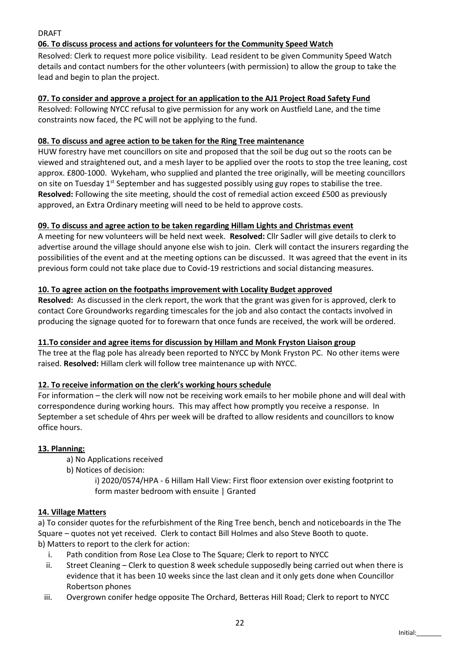# DRAFT

# **06. To discuss process and actions for volunteers for the Community Speed Watch**

Resolved: Clerk to request more police visibility. Lead resident to be given Community Speed Watch details and contact numbers for the other volunteers (with permission) to allow the group to take the lead and begin to plan the project.

### **07. To consider and approve a project for an application to the AJ1 Project Road Safety Fund**

Resolved: Following NYCC refusal to give permission for any work on Austfield Lane, and the time constraints now faced, the PC will not be applying to the fund.

### **08. To discuss and agree action to be taken for the Ring Tree maintenance**

HUW forestry have met councillors on site and proposed that the soil be dug out so the roots can be viewed and straightened out, and a mesh layer to be applied over the roots to stop the tree leaning, cost approx. £800-1000. Wykeham, who supplied and planted the tree originally, will be meeting councillors on site on Tuesday 1<sup>st</sup> September and has suggested possibly using guy ropes to stabilise the tree. **Resolved:** Following the site meeting, should the cost of remedial action exceed £500 as previously approved, an Extra Ordinary meeting will need to be held to approve costs.

### **09. To discuss and agree action to be taken regarding Hillam Lights and Christmas event**

A meeting for new volunteers will be held next week. **Resolved:** Cllr Sadler will give details to clerk to advertise around the village should anyone else wish to join. Clerk will contact the insurers regarding the possibilities of the event and at the meeting options can be discussed. It was agreed that the event in its previous form could not take place due to Covid-19 restrictions and social distancing measures.

## **10. To agree action on the footpaths improvement with Locality Budget approved**

**Resolved:** As discussed in the clerk report, the work that the grant was given for is approved, clerk to contact Core Groundworks regarding timescales for the job and also contact the contacts involved in producing the signage quoted for to forewarn that once funds are received, the work will be ordered.

## **11.To consider and agree items for discussion by Hillam and Monk Fryston Liaison group**

The tree at the flag pole has already been reported to NYCC by Monk Fryston PC. No other items were raised. **Resolved:** Hillam clerk will follow tree maintenance up with NYCC.

#### **12. To receive information on the clerk's working hours schedule**

For information – the clerk will now not be receiving work emails to her mobile phone and will deal with correspondence during working hours. This may affect how promptly you receive a response. In September a set schedule of 4hrs per week will be drafted to allow residents and councillors to know office hours.

## **13. Planning:**

- a) No Applications received
- b) Notices of decision:

i) 2020/0574/HPA - 6 Hillam Hall View: First floor extension over existing footprint to form master bedroom with ensuite | Granted

#### **14. Village Matters**

a) To consider quotes for the refurbishment of the Ring Tree bench, bench and noticeboards in the The Square – quotes not yet received. Clerk to contact Bill Holmes and also Steve Booth to quote. b) Matters to report to the clerk for action:

- i. Path condition from Rose Lea Close to The Square; Clerk to report to NYCC
- ii. Street Cleaning Clerk to question 8 week schedule supposedly being carried out when there is evidence that it has been 10 weeks since the last clean and it only gets done when Councillor Robertson phones
- iii. Overgrown conifer hedge opposite The Orchard, Betteras Hill Road; Clerk to report to NYCC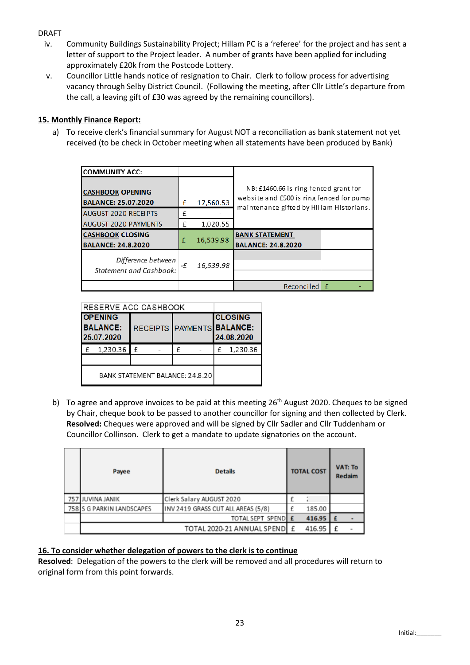## DRAFT

- iv. Community Buildings Sustainability Project; Hillam PC is a 'referee' for the project and has sent a letter of support to the Project leader. A number of grants have been applied for including approximately £20k from the Postcode Lottery.
- v. Councillor Little hands notice of resignation to Chair. Clerk to follow process for advertising vacancy through Selby District Council. (Following the meeting, after Cllr Little's departure from the call, a leaving gift of £30 was agreed by the remaining councillors).

# **15. Monthly Finance Report:**

a) To receive clerk's financial summary for August NOT a reconciliation as bank statement not yet received (to be check in October meeting when all statements have been produced by Bank)

| <b>COMMUNITY ACC:</b>                                 |    |           |                                                                                                                               |   |  |  |
|-------------------------------------------------------|----|-----------|-------------------------------------------------------------------------------------------------------------------------------|---|--|--|
| <b>CASHBOOK OPENING</b><br><b>BALANCE: 25.07.2020</b> | £  | 17,560.53 | NB: £1460.66 is ring-fenced grant for<br>website and £500 is ring fenced for pump<br>maintenance gifted by Hillam Historians. |   |  |  |
| <b>AUGUST 2020 RECEIPTS</b>                           | £  |           |                                                                                                                               |   |  |  |
| <b>AUGUST 2020 PAYMENTS</b>                           | £  | 1,020.55  |                                                                                                                               |   |  |  |
| <b>CASHBOOK CLOSING</b><br><b>BALANCE: 24.8.2020</b>  | £  | 16,539.98 | <b>BANK STATEMENT</b><br><b>BALANCE: 24.8.2020</b>                                                                            |   |  |  |
| Difference between<br><b>Statement and Cashbook:</b>  | -£ | 16,539.98 |                                                                                                                               |   |  |  |
|                                                       |    |           | Reconciled                                                                                                                    | f |  |  |

| <b>RESERVE ACC CASHBOOK</b>                     |          |   |  |   |  |                                                            |          |  |
|-------------------------------------------------|----------|---|--|---|--|------------------------------------------------------------|----------|--|
| <b>OPENING</b><br><b>BALANCE:</b><br>25.07.2020 |          |   |  |   |  | <b>CLOSING</b><br>RECEIPTS PAYMENTS BALANCE:<br>24.08.2020 |          |  |
|                                                 | 1,230.36 | f |  | £ |  |                                                            | 1,230.36 |  |
|                                                 |          |   |  |   |  |                                                            |          |  |
| BANK STATEMENT BALANCE: 24.8.20                 |          |   |  |   |  |                                                            |          |  |

b) To agree and approve invoices to be paid at this meeting  $26<sup>th</sup>$  August 2020. Cheques to be signed by Chair, cheque book to be passed to another councillor for signing and then collected by Clerk. **Resolved:** Cheques were approved and will be signed by Cllr Sadler and Cllr Tuddenham or Councillor Collinson. Clerk to get a mandate to update signatories on the account.

| Payee                     | <b>Details</b>                     | <b>TOTAL COST</b> |        | <b>VAT: To</b><br>Redaim |  |
|---------------------------|------------------------------------|-------------------|--------|--------------------------|--|
| 757 JUVINA JANIK          | Clerk Salary AUGUST 2020           |                   |        |                          |  |
| 758 S G PARKIN LANDSCAPES | INV 2419 GRASS CUT ALL AREAS (5/8) |                   | 185.00 |                          |  |
|                           | TOTAL SEPT SPEND E                 |                   | 416.95 |                          |  |
|                           | TOTAL 2020-21 ANNUAL SPEND E       |                   | 416.95 |                          |  |

## **16. To consider whether delegation of powers to the clerk is to continue**

**Resolved**: Delegation of the powers to the clerk will be removed and all procedures will return to original form from this point forwards.